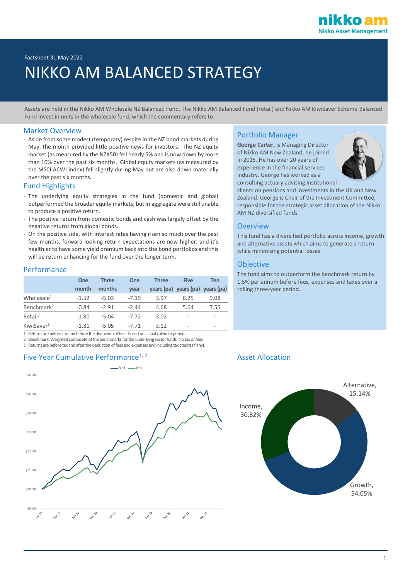

# Factsheet 31 May 2022 NIKKO AM BALANCED STRATEGY

Assets are held in the Nikko AM Wholesale NZ Balanced Fund. The Nikko AM Balanced Fund (retail) and Nikko AM KiwiSaver Scheme Balanced Fund invest in units in the wholesale fund, which the commentary refers to.

### Market Overview

- Aside from some modest (temporary) respite in the NZ bond markets during May, the month provided little positive news for investors. The NZ equity market (as measured by the NZX50) fell nearly 5% and is now down by more than 10% over the past six months. Global equity markets (as measured by the MSCI ACWI index) fell slightly during May but are also down materially over the past six months.

### Fund Highlights

- The underlying equity strategies in the fund (domestic and global) outperformed the broader equity markets, but in aggregate were still unable to produce a positive return.
- The positive return from domestic bonds and cash was largely offset by the negative returns from global bonds.
- On the positive side, with interest rates having risen so much over the past few months, forward looking return expectations are now higher, and it's healthier to have some yield premium back into the bond portfolios and this will be return enhancing for the fund over the longer term.

### Performance

|                        | <b>One</b> | <b>Three</b> | One     | <b>Three</b> | <b>Five</b>                      | Ten                      |
|------------------------|------------|--------------|---------|--------------|----------------------------------|--------------------------|
|                        | month      | months       | vear    |              | years (pa) years (pa) years (pa) |                          |
| Wholesale <sup>1</sup> | $-1.52$    | $-5.03$      | $-7.19$ | 3.97         | 6.25                             | 9.08                     |
| Benchmark <sup>2</sup> | $-0.84$    | $-2.91$      | $-2.44$ | 4.68         | 5.64                             | 7.55                     |
| Retail <sup>3</sup>    | $-1.80$    | $-5.04$      | $-7.72$ | 3.02         | ۰                                | ۰                        |
| KiwiSaver <sup>3</sup> | $-1.81$    | $-5.05$      | $-7,71$ | 3.12         | ۰                                | $\overline{\phantom{a}}$ |

1. Returns are before tax and before the deduction of fees. Based on actual calendar periods.

2. Benchmark: Weighted composite of the benchmarks for the underlying sector funds. No tax or fees

3. Returns are before tax and after the deduction of fees and expenses and including tax credits (if any).

## Five Year Cumulative Performance<sup>1, 2</sup> Asset Allocation Asset Allocation



### Portfolio Manager

**George Carter,** is Managing Director of Nikko AM New Zealand, he joined in 2015. He has over 20 years of experience in the financial services industry. George has worked as a consulting actuary advising institutional



clients on pensions and investments in the UK and New Zealand. George is Chair of the Investment Committee, responsible for the strategic asset allocation of the Nikko AM NZ diversified funds.

### **Overview**

This fund has a diversified portfolio across income, growth and alternative assets which aims to generate a return while minimising potential losses.

### **Objective**

The fund aims to outperform the benchmark return by 1.5% per annum before fees, expenses and taxes over a rolling three-year period.